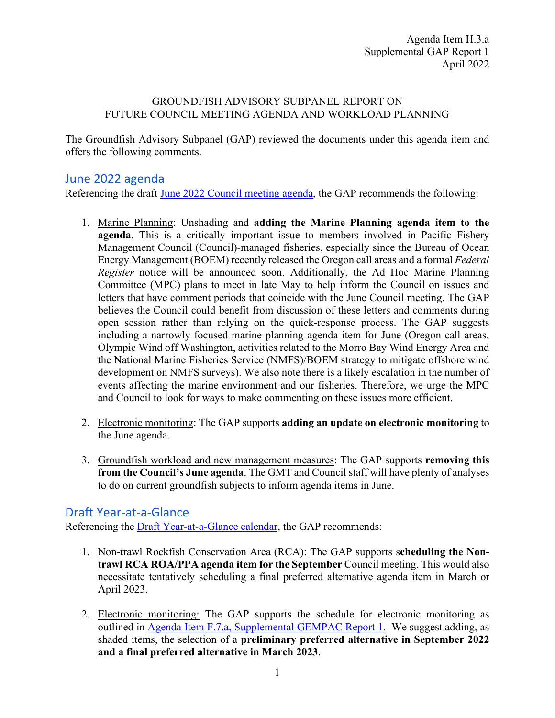## GROUNDFISH ADVISORY SUBPANEL REPORT ON FUTURE COUNCIL MEETING AGENDA AND WORKLOAD PLANNING

The Groundfish Advisory Subpanel (GAP) reviewed the documents under this agenda item and offers the following comments.

## June 2022 agenda

Referencing the draft [June 2022 Council meeting agenda,](https://www.pcouncil.org/documents/2022/04/h-3-supplemental-attachment-4-draft-proposed-council-meeting-agenda-june-2022-v-04-12-2022.pdf/) the GAP recommends the following:

- 1. Marine Planning: Unshading and **adding the Marine Planning agenda item to the agenda**. This is a critically important issue to members involved in Pacific Fishery Management Council (Council)-managed fisheries, especially since the Bureau of Ocean Energy Management (BOEM) recently released the Oregon call areas and a formal *Federal Register* notice will be announced soon. Additionally, the Ad Hoc Marine Planning Committee (MPC) plans to meet in late May to help inform the Council on issues and letters that have comment periods that coincide with the June Council meeting. The GAP believes the Council could benefit from discussion of these letters and comments during open session rather than relying on the quick-response process. The GAP suggests including a narrowly focused marine planning agenda item for June (Oregon call areas, Olympic Wind off Washington, activities related to the Morro Bay Wind Energy Area and the National Marine Fisheries Service (NMFS)/BOEM strategy to mitigate offshore wind development on NMFS surveys). We also note there is a likely escalation in the number of events affecting the marine environment and our fisheries. Therefore, we urge the MPC and Council to look for ways to make commenting on these issues more efficient.
- 2. Electronic monitoring: The GAP supports **adding an update on electronic monitoring** to the June agenda.
- 3. Groundfish workload and new management measures: The GAP supports **removing this from the Council's June agenda**. The GMT and Council staff will have plenty of analyses to do on current groundfish subjects to inform agenda items in June.

## Draft Year-at-a-Glance

Referencing the [Draft Year-at-a-Glance calendar,](https://www.pcouncil.org/documents/2022/04/h-3-supplemental-attachment-3-pacific-council-workload-planning-preliminary-year-at-a-glance-summary-v-04-12-2022.pdf/) the GAP recommends:

- 1. Non-trawl Rockfish Conservation Area (RCA): The GAP supports s**cheduling the Nontrawl RCA ROA/PPA agenda item for the September** Council meeting. This would also necessitate tentatively scheduling a final preferred alternative agenda item in March or April 2023.
- 2. Electronic monitoring: The GAP supports the schedule for electronic monitoring as outlined in [Agenda Item F.7.a, Supplemental GEMPAC](https://www.pcouncil.org/documents/2022/04/f-7-a-supplemental-gempac-report-1-electronic-monitoring-update.pdf/) Report 1. We suggest adding, as shaded items, the selection of a **preliminary preferred alternative in September 2022 and a final preferred alternative in March 2023**.